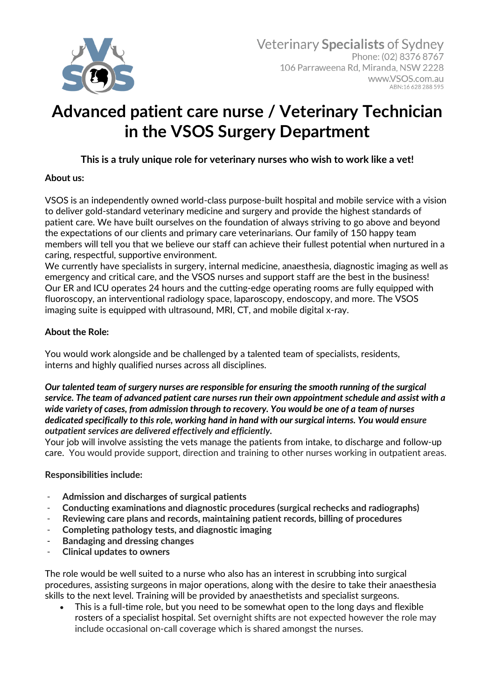

# **Advanced patient care nurse / Veterinary Technician in the VSOS Surgery Department**

## **This is a truly unique role for veterinary nurses who wish to work like a vet!**

## **About us:**

VSOS is an independently owned world-class purpose-built hospital and mobile service with a vision to deliver gold-standard veterinary medicine and surgery and provide the highest standards of patient care. We have built ourselves on the foundation of always striving to go above and beyond the expectations of our clients and primary care veterinarians. Our family of 150 happy team members will tell you that we believe our staff can achieve their fullest potential when nurtured in a caring, respectful, supportive environment.

We currently have specialists in surgery, internal medicine, anaesthesia, diagnostic imaging as well as emergency and critical care, and the VSOS nurses and support staff are the best in the business! Our ER and ICU operates 24 hours and the cutting-edge operating rooms are fully equipped with fluoroscopy, an interventional radiology space, laparoscopy, endoscopy, and more. The VSOS imaging suite is equipped with ultrasound, MRI, CT, and mobile digital x-ray.

## **About the Role:**

You would work alongside and be challenged by a talented team of specialists, residents, interns and highly qualified nurses across all disciplines.

#### *Our talented team of surgery nurses are responsible for ensuring the smooth running of the surgical service. The team of advanced patient care nurses run their own appointment schedule and assist with a wide variety of cases, from admission through to recovery. You would be one of a team of nurses dedicated specifically to this role, working hand in hand with our surgical interns. You would ensure outpatient services are delivered effectively and efficiently.*

Your job will involve assisting the vets manage the patients from intake, to discharge and follow-up care. You would provide support, direction and training to other nurses working in outpatient areas.

## **Responsibilities include:**

- **Admission and discharges of surgical patients**
- **Conducting examinations and diagnostic procedures (surgical rechecks and radiographs)**
- **Reviewing care plans and records, maintaining patient records, billing of procedures**
- **Completing pathology tests, and diagnostic imaging**
- **Bandaging and dressing changes**
- **Clinical updates to owners**

The role would be well suited to a nurse who also has an interest in scrubbing into surgical procedures, assisting surgeons in major operations, along with the desire to take their anaesthesia skills to the next level. Training will be provided by anaesthetists and specialist surgeons.

• This is a full-time role, but you need to be somewhat open to the long days and flexible rosters of a specialist hospital. Set overnight shifts are not expected however the role may include occasional on-call coverage which is shared amongst the nurses.